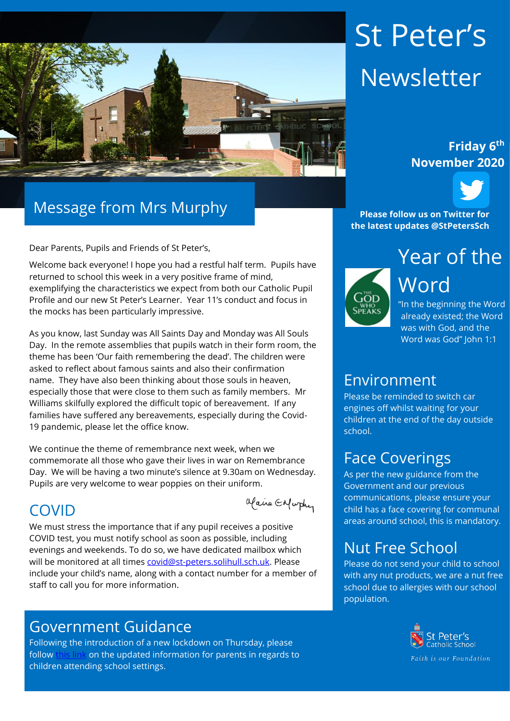

# Message from Mrs Murphy

Dear Parents, Pupils and Friends of St Peter's,

Welcome back everyone! I hope you had a restful half term. Pupils have returned to school this week in a very positive frame of mind, exemplifying the characteristics we expect from both our Catholic Pupil Profile and our new St Peter's Learner. Year 11's conduct and focus in the mocks has been particularly impressive.

As you know, last Sunday was All Saints Day and Monday was All Souls Day. In the remote assemblies that pupils watch in their form room, the theme has been 'Our faith remembering the dead'. The children were asked to reflect about famous saints and also their confirmation name. They have also been thinking about those souls in heaven, especially those that were close to them such as family members. Mr Williams skilfully explored the difficult topic of bereavement. If any families have suffered any bereavements, especially during the Covid-19 pandemic, please let the office know.

We continue the theme of remembrance next week, when we commemorate all those who gave their lives in war on Remembrance Day. We will be having a two minute's silence at 9.30am on Wednesday. Pupils are very welcome to wear poppies on their uniform.

#### COVID

Maire Enfurther

We must stress the importance that if any pupil receives a positive COVID test, you must notify school as soon as possible, including evenings and weekends. To do so, we have dedicated mailbox which will be monitored at all times [covid@st-peters.solihull.sch.uk.](mailto:covid@st-peters.solihull.sch.uk) Please include your child's name, along with a contact number for a member of staff to call you for more information.

#### Government Guidance

Following the introduction of a new lockdown on Thursday, please follow [this link](https://www.gov.uk/government/publications/guidance-for-parents-and-carers-of-children-attending-out-of-school-settings-during-the-coronavirus-covid-19-outbreak/guidance-for-parents-and-carers-of-children-attending-out-of-school-settings-during-the-coronavirus-covid-19-outbreak) on the updated information for parents in regards to children attending school settings.

# St Peter's Newsletter

# **November 2020**



**Please follow us on Twitter for the latest updates @StPetersSch**



"In the beginning the Word already existed; the Word was with God, and the Word was God" John 1:1

#### Environment

Please be reminded to switch car engines off whilst waiting for your children at the end of the day outside school.

# Face Coverings

As per the new guidance from the Government and our previous communications, please ensure your child has a face covering for communal areas around school, this is mandatory.

# Nut Free School

Please do not send your child to school with any nut products, we are a nut free school due to allergies with our school population.



Faith is our Foundation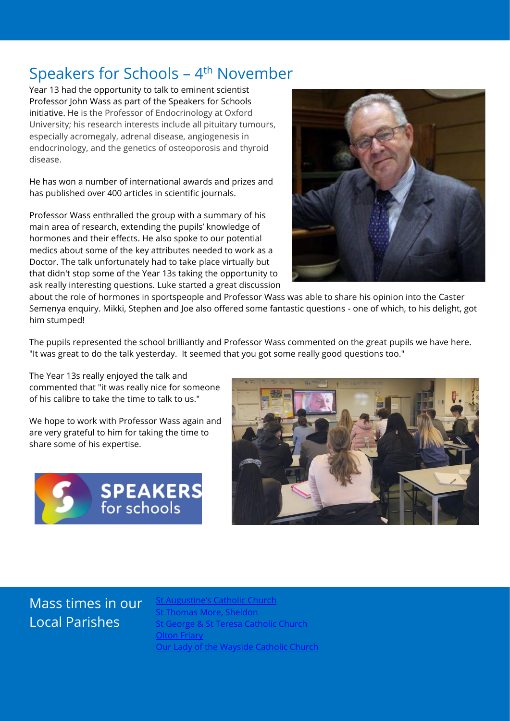#### Speakers for Schools – 4<sup>th</sup> November

Year 13 had the opportunity to talk to eminent scientist Professor John Wass as part of the Speakers for Schools initiative. He is the Professor of Endocrinology at Oxford University; his research interests include all pituitary tumours, especially acromegaly, adrenal disease, angiogenesis in endocrinology, and the genetics of osteoporosis and thyroid disease.

He has won a number of international awards and prizes and has published over 400 articles in scientific journals.

Professor Wass enthralled the group with a summary of his main area of research, extending the pupils' knowledge of hormones and their effects. He also spoke to our potential medics about some of the key attributes needed to work as a Doctor. The talk unfortunately had to take place virtually but that didn't stop some of the Year 13s taking the opportunity to ask really interesting questions. Luke started a great discussion



about the role of hormones in sportspeople and Professor Wass was able to share his opinion into the Caster Semenya enquiry. Mikki, Stephen and Joe also offered some fantastic questions - one of which, to his delight, got him stumped!

The pupils represented the school brilliantly and Professor Wass commented on the great pupils we have here. "It was great to do the talk yesterday. It seemed that you got some really good questions too."

The Year 13s really enjoyed the talk and commented that "it was really nice for someone of his calibre to take the time to talk to us."

We hope to work with Professor Wass again and are very grateful to him for taking the time to share some of his expertise.





#### Mass times in our Local Parishes

t Augustine's Catholic Church ا<u>omas More, Sheldon</u> eorge & St Teresa Catholic Church **[Olton Friary](https://www.oltonfriary.org.uk/)** [Our Lady of the Wayside Catholic Church](http://ourladyofthewaysidechurchshirley.co.uk/)